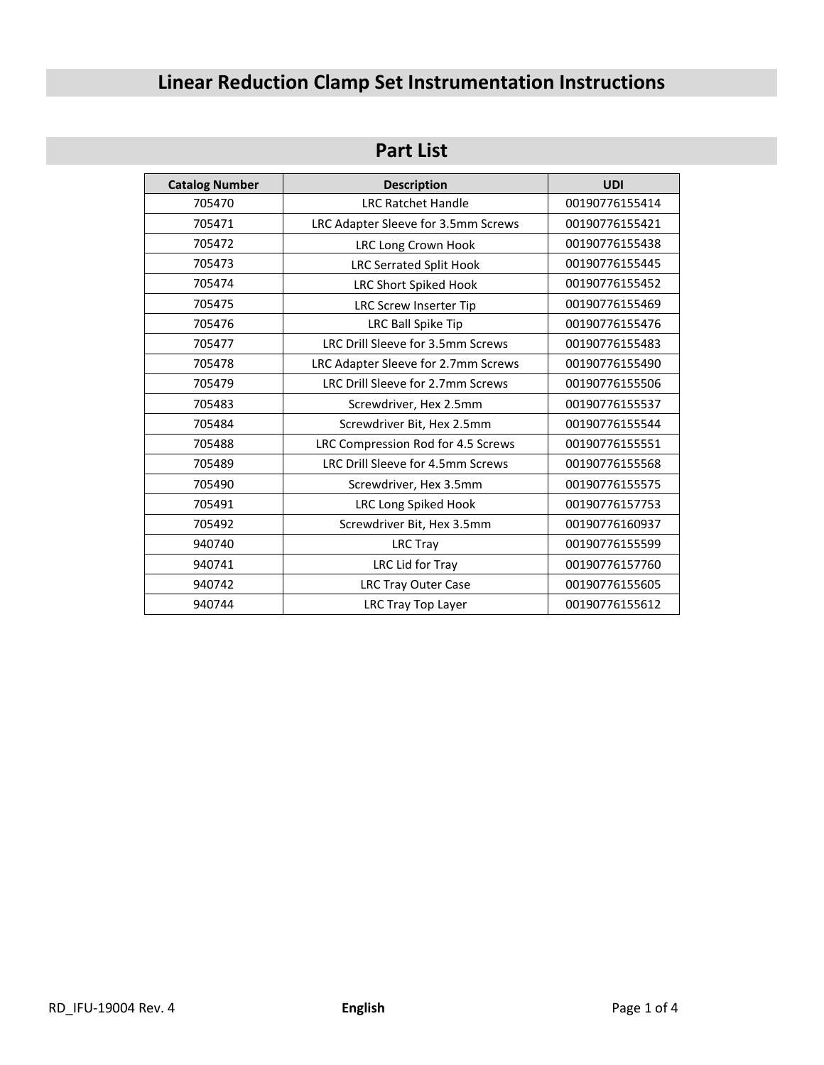# **Linear Reduction Clamp Set Instrumentation Instructions**

## **Part List**

| <b>Catalog Number</b> | <b>Description</b>                  | <b>UDI</b>     |
|-----------------------|-------------------------------------|----------------|
| 705470                | <b>LRC Ratchet Handle</b>           | 00190776155414 |
| 705471                | LRC Adapter Sleeve for 3.5mm Screws | 00190776155421 |
| 705472                | <b>LRC Long Crown Hook</b>          | 00190776155438 |
| 705473                | <b>LRC Serrated Split Hook</b>      | 00190776155445 |
| 705474                | <b>LRC Short Spiked Hook</b>        | 00190776155452 |
| 705475                | LRC Screw Inserter Tip              | 00190776155469 |
| 705476                | LRC Ball Spike Tip                  | 00190776155476 |
| 705477                | LRC Drill Sleeve for 3.5mm Screws   | 00190776155483 |
| 705478                | LRC Adapter Sleeve for 2.7mm Screws | 00190776155490 |
| 705479                | LRC Drill Sleeve for 2.7mm Screws   | 00190776155506 |
| 705483                | Screwdriver, Hex 2.5mm              | 00190776155537 |
| 705484                | Screwdriver Bit, Hex 2.5mm          | 00190776155544 |
| 705488                | LRC Compression Rod for 4.5 Screws  | 00190776155551 |
| 705489                | LRC Drill Sleeve for 4.5mm Screws   | 00190776155568 |
| 705490                | Screwdriver, Hex 3.5mm              | 00190776155575 |
| 705491                | LRC Long Spiked Hook                | 00190776157753 |
| 705492                | Screwdriver Bit, Hex 3.5mm          | 00190776160937 |
| 940740                | <b>LRC Tray</b>                     | 00190776155599 |
| 940741                | LRC Lid for Tray                    | 00190776157760 |
| 940742                | <b>LRC Tray Outer Case</b>          | 00190776155605 |
| 940744                | LRC Tray Top Layer                  | 00190776155612 |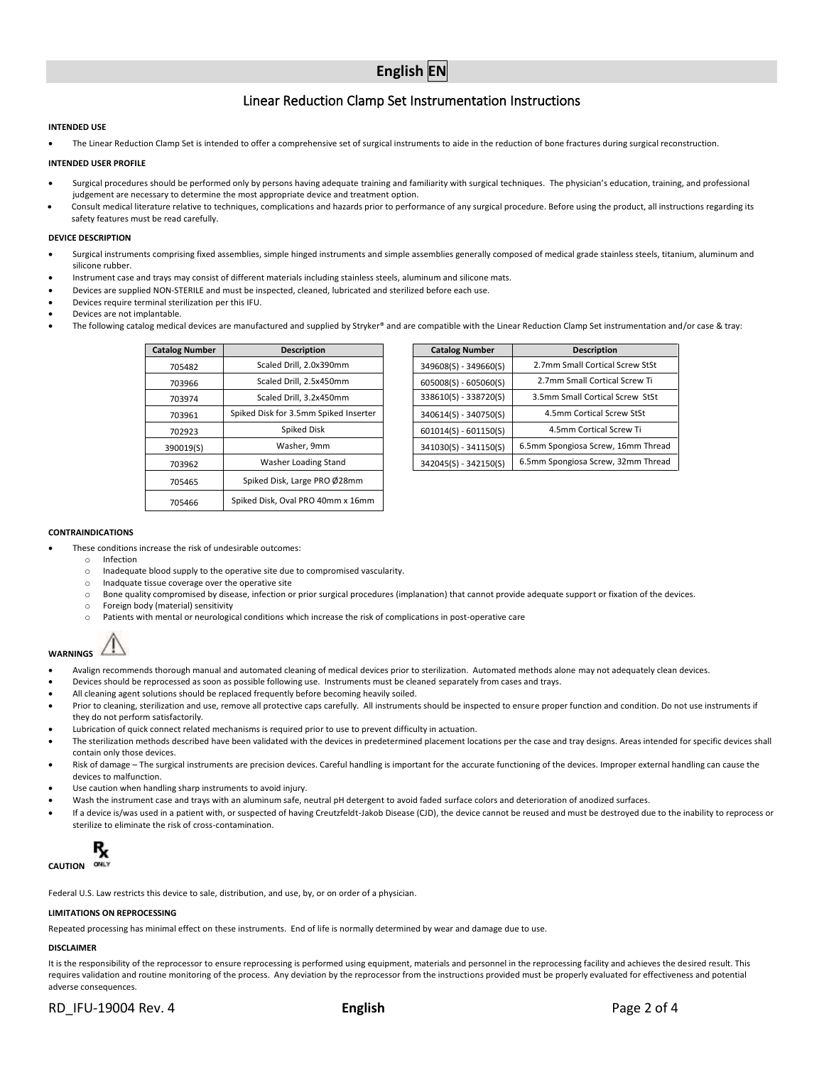### Linear Reduction Clamp Set Instrumentation Instructions

#### **INTENDED USE**

• The Linear Reduction Clamp Set is intended to offer a comprehensive set of surgical instruments to aide in the reduction of bone fractures during surgical reconstruction.

#### **INTENDED USER PROFILE**

- Surgical procedures should be performed only by persons having adequate training and familiarity with surgical techniques. The physician's education, training, and professional judgement are necessary to determine the most appropriate device and treatment option.
- Consult medical literature relative to techniques, complications and hazards prior to performance of any surgical procedure. Before using the product, all instructions regarding its safety features must be read carefully.

#### **DEVICE DESCRIPTION**

- Surgical instruments comprising fixed assemblies, simple hinged instruments and simple assemblies generally composed of medical grade stainless steels, titanium, aluminum and silicone rubber.
- Instrument case and trays may consist of different materials including stainless steels, aluminum and silicone mats.
- Devices are supplied NON-STERILE and must be inspected, cleaned, lubricated and sterilized before each use.
- Devices require terminal sterilization per this IFU.
- Devices are not implantable.
- The following catalog medical devices are manufactured and supplied by Stryker® and are compatible with the Linear Reduction Clamp Set instrumentation and/or case & tray:

| <b>Catalog Number</b> | <b>Description</b>                    | <b>Catalog Number</b>   | <b>Description</b>     |
|-----------------------|---------------------------------------|-------------------------|------------------------|
| 705482                | Scaled Drill, 2.0x390mm               | 349608(S) - 349660(S)   | 2.7mm Small Cortical   |
| 703966                | Scaled Drill. 2.5x450mm               | $605008(S) - 605060(S)$ | 2.7mm Small Cortica    |
| 703974                | Scaled Drill, 3.2x450mm               | 338610(S) - 338720(S)   | 3.5mm Small Cortical 9 |
| 703961                | Spiked Disk for 3.5mm Spiked Inserter | $340614(S) - 340750(S)$ | 4.5mm Cortical Scr     |
| 702923                | Spiked Disk                           | $601014(S) - 601150(S)$ | 4.5mm Cortical Sc      |
| 390019(S)             | Washer, 9mm                           | 341030(S) - 341150(S)   | 6.5mm Spongiosa Screw, |
| 703962                | Washer Loading Stand                  | 342045(S) - 342150(S)   | 6.5mm Spongiosa Screw, |
| 705465                | Spiked Disk, Large PRO Ø28mm          |                         |                        |
| 705466                | Spiked Disk, Oval PRO 40mm x 16mm     |                         |                        |

| alog Number | <b>Description</b>                    | <b>Catalog Number</b>   | <b>Description</b>                 |
|-------------|---------------------------------------|-------------------------|------------------------------------|
| 705482      | Scaled Drill, 2.0x390mm               | 349608(S) - 349660(S)   | 2.7mm Small Cortical Screw StSt    |
| 703966      | Scaled Drill, 2.5x450mm               | $605008(S) - 605060(S)$ | 2.7mm Small Cortical Screw Ti      |
| 703974      | Scaled Drill, 3.2x450mm               | 338610(S) - 338720(S)   | 3.5mm Small Cortical Screw StSt    |
| 703961      | Spiked Disk for 3.5mm Spiked Inserter | $340614(S) - 340750(S)$ | 4.5mm Cortical Screw StSt          |
| 702923      | Spiked Disk                           | $601014(S) - 601150(S)$ | 4.5mm Cortical Screw Ti            |
| 390019(S)   | Washer, 9mm                           | 341030(S) - 341150(S)   | 6.5mm Spongiosa Screw, 16mm Thread |
| 703962      | Washer Loading Stand                  | 342045(S) - 342150(S)   | 6.5mm Spongiosa Screw, 32mm Thread |

#### **CONTRAINDICATIONS**

- These conditions increase the risk of undesirable outcomes:
- o Infection
	- o Inadequate blood supply to the operative site due to compromised vascularity.
	- o Inadquate tissue coverage over the operative site
	- o Bone quality compromised by disease, infection or prior surgical procedures (implanation) that cannot provide adequate support or fixation of the devices.
	- o Foreign body (material) sensitivity
	- o Patients with mental or neurological conditions which increase the risk of complications in post-operative care



- Avalign recommends thorough manual and automated cleaning of medical devices prior to sterilization. Automated methods alone may not adequately clean devices.
- Devices should be reprocessed as soon as possible following use. Instruments must be cleaned separately from cases and trays.
- All cleaning agent solutions should be replaced frequently before becoming heavily soiled.
- Prior to cleaning, sterilization and use, remove all protective caps carefully. All instruments should be inspected to ensure proper function and condition. Do not use instruments if they do not perform satisfactorily.
- Lubrication of quick connect related mechanisms is required prior to use to prevent difficulty in actuation.
- The sterilization methods described have been validated with the devices in predetermined placement locations per the case and tray designs. Areas intended for specific devices shall contain only those devices.
- Risk of damage The surgical instruments are precision devices. Careful handling is important for the accurate functioning of the devices. Improper external handling can cause the devices to malfunction.
- Use caution when handling sharp instruments to avoid injury.
- Wash the instrument case and trays with an aluminum safe, neutral pH detergent to avoid faded surface colors and deterioration of anodized surfaces.
- If a device is/was used in a patient with, or suspected of having Creutzfeldt-Jakob Disease (CJD), the device cannot be reused and must be destroyed due to the inability to reprocess or sterilize to eliminate the risk of cross-contamination.



Federal U.S. Law restricts this device to sale, distribution, and use, by, or on order of a physician.

#### **LIMITATIONS ON REPROCESSING**

Repeated processing has minimal effect on these instruments. End of life is normally determined by wear and damage due to use.

#### **DISCLAIMER**

It is the responsibility of the reprocessor to ensure reprocessing is performed using equipment, materials and personnel in the reprocessing facility and achieves the desired result. This requires validation and routine monitoring of the process. Any deviation by the reprocessor from the instructions provided must be properly evaluated for effectiveness and potential adverse consequences.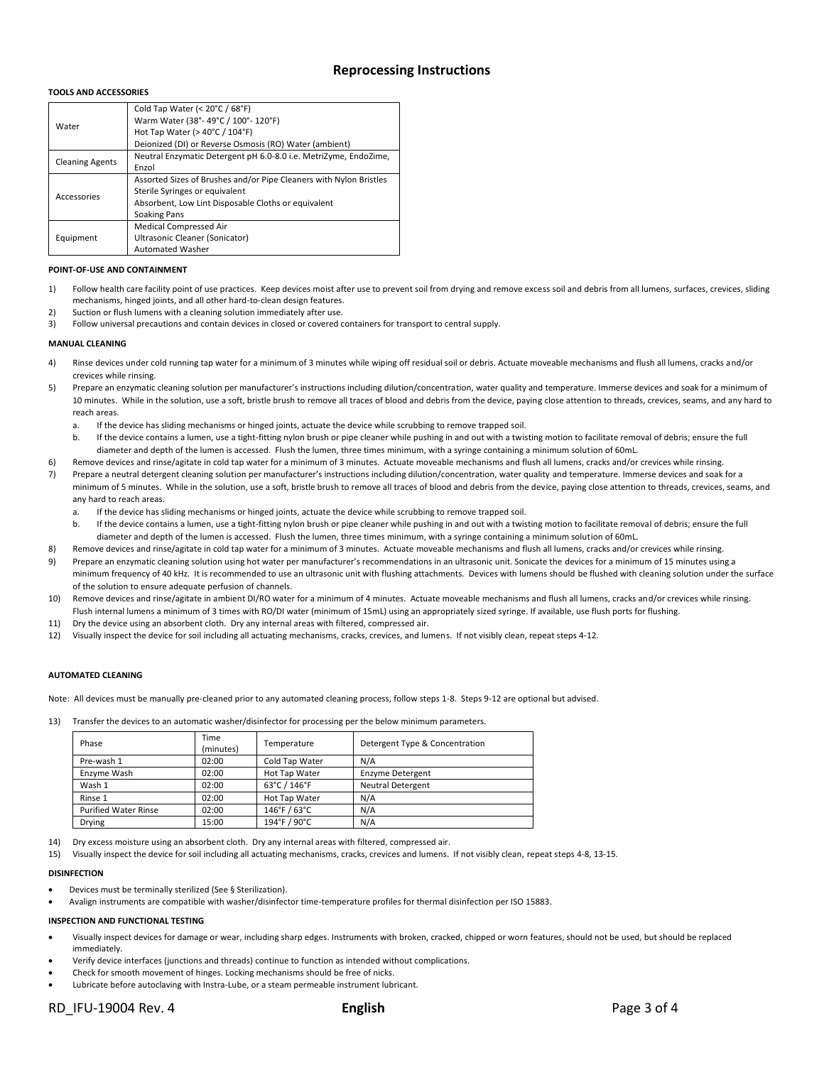#### **Reprocessing Instructions**

#### **TOOLS AND ACCESSORIES**

|                        | Cold Tap Water (< 20°C / 68°F)                                     |
|------------------------|--------------------------------------------------------------------|
|                        | Warm Water (38°-49°C / 100°-120°F)                                 |
| Water                  | Hot Tap Water ( $>$ 40 $^{\circ}$ C / 104 $^{\circ}$ F)            |
|                        | Deionized (DI) or Reverse Osmosis (RO) Water (ambient)             |
| <b>Cleaning Agents</b> | Neutral Enzymatic Detergent pH 6.0-8.0 i.e. MetriZyme, EndoZime,   |
|                        | Enzol                                                              |
|                        | Assorted Sizes of Brushes and/or Pipe Cleaners with Nylon Bristles |
| Accessories            | Sterile Syringes or equivalent                                     |
|                        | Absorbent, Low Lint Disposable Cloths or equivalent                |
|                        | <b>Soaking Pans</b>                                                |
|                        | Medical Compressed Air                                             |
| Equipment              | Ultrasonic Cleaner (Sonicator)                                     |
|                        | <b>Automated Washer</b>                                            |

#### **POINT-OF-USE AND CONTAINMENT**

- 1) Follow health care facility point of use practices. Keep devices moist after use to prevent soil from drying and remove excess soil and debris from all lumens, surfaces, crevices, sliding mechanisms, hinged joints, and all other hard-to-clean design features.
- 2) Suction or flush lumens with a cleaning solution immediately after use.
- 3) Follow universal precautions and contain devices in closed or covered containers for transport to central supply.

#### **MANUAL CLEANING**

- 4) Rinse devices under cold running tap water for a minimum of 3 minutes while wiping off residual soil or debris. Actuate moveable mechanisms and flush all lumens, cracks and/or crevices while rinsing.
- 5) Prepare an enzymatic cleaning solution per manufacturer's instructions including dilution/concentration, water quality and temperature. Immerse devices and soak for a minimum of 10 minutes. While in the solution, use a soft, bristle brush to remove all traces of blood and debris from the device, paying close attention to threads, crevices, seams, and any hard to reach areas.
	- a. If the device has sliding mechanisms or hinged joints, actuate the device while scrubbing to remove trapped soil.
	- b. If the device contains a lumen, use a tight-fitting nylon brush or pipe cleaner while pushing in and out with a twisting motion to facilitate removal of debris; ensure the full diameter and depth of the lumen is accessed. Flush the lumen, three times minimum, with a syringe containing a minimum solution of 60mL.
- 6) Remove devices and rinse/agitate in cold tap water for a minimum of 3 minutes. Actuate moveable mechanisms and flush all lumens, cracks and/or crevices while rinsing.
- 7) Prepare a neutral detergent cleaning solution per manufacturer's instructions including dilution/concentration, water quality and temperature. Immerse devices and soak for a minimum of 5 minutes. While in the solution, use a soft, bristle brush to remove all traces of blood and debris from the device, paying close attention to threads, crevices, seams, and any hard to reach areas.
	- a. If the device has sliding mechanisms or hinged joints, actuate the device while scrubbing to remove trapped soil.
	- b. If the device contains a lumen, use a tight-fitting nylon brush or pipe cleaner while pushing in and out with a twisting motion to facilitate removal of debris; ensure the full diameter and depth of the lumen is accessed. Flush the lumen, three times minimum, with a syringe containing a minimum solution of 60mL.
- 8) Remove devices and rinse/agitate in cold tap water for a minimum of 3 minutes. Actuate moveable mechanisms and flush all lumens, cracks and/or crevices while rinsing.
- 9) Prepare an enzymatic cleaning solution using hot water per manufacturer's recommendations in an ultrasonic unit. Sonicate the devices for a minimum of 15 minutes using a minimum frequency of 40 kHz. It is recommended to use an ultrasonic unit with flushing attachments. Devices with lumens should be flushed with cleaning solution under the surface of the solution to ensure adequate perfusion of channels.
- 10) Remove devices and rinse/agitate in ambient DI/RO water for a minimum of 4 minutes. Actuate moveable mechanisms and flush all lumens, cracks and/or crevices while rinsing. Flush internal lumens a minimum of 3 times with RO/DI water (minimum of 15mL) using an appropriately sized syringe. If available, use flush ports for flushing.
- 11) Dry the device using an absorbent cloth. Dry any internal areas with filtered, compressed air.
- 12) Visually inspect the device for soil including all actuating mechanisms, cracks, crevices, and lumens. If not visibly clean, repeat steps 4-12.

#### **AUTOMATED CLEANING**

Note: All devices must be manually pre-cleaned prior to any automated cleaning process, follow steps 1-8. Steps 9-12 are optional but advised.

13) Transfer the devices to an automatic washer/disinfector for processing per the below minimum parameters.

| Phase                       | Time<br>(minutes) | Temperature    | Detergent Type & Concentration |
|-----------------------------|-------------------|----------------|--------------------------------|
| Pre-wash 1                  | 02:00             | Cold Tap Water | N/A                            |
| Enzyme Wash                 | 02:00             | Hot Tap Water  | Enzyme Detergent               |
| Wash 1                      | 02:00             | 63°C / 146°F   | <b>Neutral Detergent</b>       |
| Rinse 1                     | 02:00             | Hot Tap Water  | N/A                            |
| <b>Purified Water Rinse</b> | 02:00             | 146°F / 63°C   | N/A                            |
| Drying                      | 15:00             | 194°F / 90°C   | N/A                            |
|                             |                   |                |                                |

14) Dry excess moisture using an absorbent cloth. Dry any internal areas with filtered, compressed air.

15) Visually inspect the device for soil including all actuating mechanisms, cracks, crevices and lumens. If not visibly clean, repeat steps 4-8, 13-15.

#### **DISINFECTION**

- Devices must be terminally sterilized (See § Sterilization).
- Avalign instruments are compatible with washer/disinfector time-temperature profiles for thermal disinfection per ISO 15883.

#### **INSPECTION AND FUNCTIONAL TESTING**

- Visually inspect devices for damage or wear, including sharp edges. Instruments with broken, cracked, chipped or worn features, should not be used, but should be replaced immediately.
- Verify device interfaces (junctions and threads) continue to function as intended without complications.
- Check for smooth movement of hinges. Locking mechanisms should be free of nicks.
- Lubricate before autoclaving with Instra-Lube, or a steam permeable instrument lubricant.